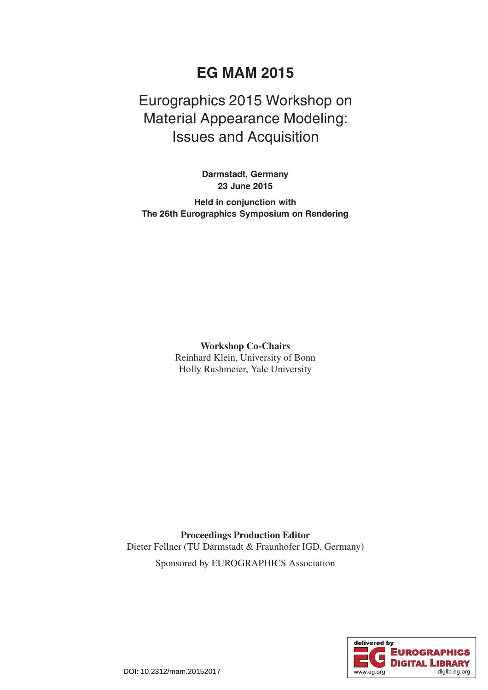## **EG MAM 2015**

## Eurographics 2015 Workshop on Material Appearance Modeling: Issues and Acquisition

**Darmstadt, Germany 23 June 2015**

**Held in conjunction with The 26th Eurographics Symposium on Rendering**

> **Workshop Co-Chairs** Reinhard Klein, University of Bonn Holly Rushmeier, Yale University

**Proceedings Production Editor** Dieter Fellner (TU Darmstadt & Fraunhofer IGD, Germany) Sponsored by EUROGRAPHICS Association

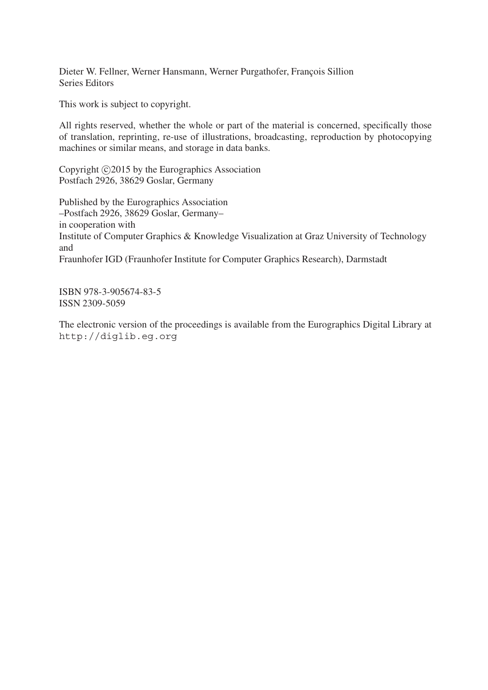Dieter W. Fellner, Werner Hansmann, Werner Purgathofer, François Sillion Series Editors

This work is subject to copyright.

All rights reserved, whether the whole or part of the material is concerned, specifically those of translation, reprinting, re-use of illustrations, broadcasting, reproduction by photocopying machines or similar means, and storage in data banks.

Copyright C 2015 by the Eurographics Association Postfach 2926, 38629 Goslar, Germany

Published by the Eurographics Association –Postfach 2926, 38629 Goslar, Germany– in cooperation with Institute of Computer Graphics & Knowledge Visualization at Graz University of Technology and Fraunhofer IGD (Fraunhofer Institute for Computer Graphics Research), Darmstadt

ISBN 978-3-905674-83-5 ISSN 2309-5059

The electronic version of the proceedings is available from the Eurographics Digital Library at http://diglib.eg.org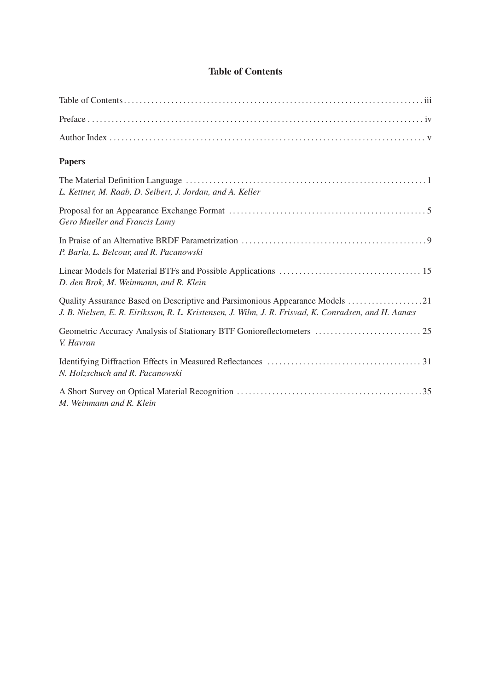|  | <b>Table of Contents</b> |
|--|--------------------------|
|  |                          |

| <b>Papers</b>                                                                                                                                                                        |
|--------------------------------------------------------------------------------------------------------------------------------------------------------------------------------------|
| L. Kettner, M. Raab, D. Seibert, J. Jordan, and A. Keller                                                                                                                            |
| Gero Mueller and Francis Lamy                                                                                                                                                        |
| P. Barla, L. Belcour, and R. Pacanowski                                                                                                                                              |
| D. den Brok, M. Weinmann, and R. Klein                                                                                                                                               |
| Quality Assurance Based on Descriptive and Parsimonious Appearance Models 21<br>J. B. Nielsen, E. R. Eiriksson, R. L. Kristensen, J. Wilm, J. R. Frisvad, K. Conradsen, and H. Aanæs |
| Geometric Accuracy Analysis of Stationary BTF Gonioreflectometers  25<br>V. Havran                                                                                                   |
| N. Holzschuch and R. Pacanowski                                                                                                                                                      |
| M. Weinmann and R. Klein                                                                                                                                                             |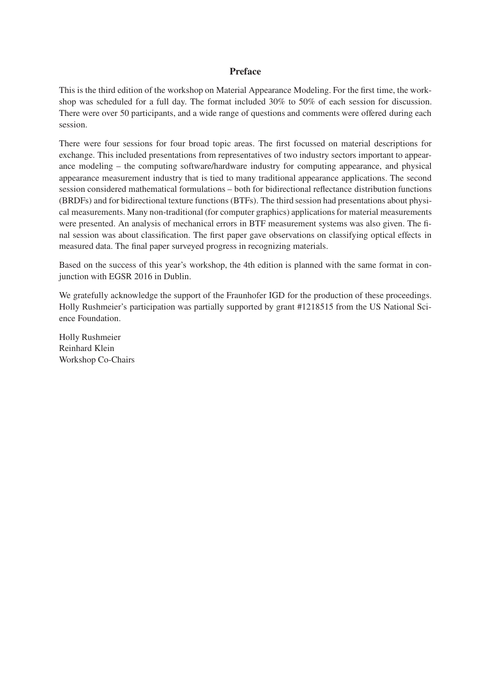## **Preface**

This is the third edition of the workshop on Material Appearance Modeling. For the first time, the workshop was scheduled for a full day. The format included 30% to 50% of each session for discussion. There were over 50 participants, and a wide range of questions and comments were offered during each session.

There were four sessions for four broad topic areas. The first focussed on material descriptions for exchange. This included presentations from representatives of two industry sectors important to appearance modeling – the computing software/hardware industry for computing appearance, and physical appearance measurement industry that is tied to many traditional appearance applications. The second session considered mathematical formulations – both for bidirectional reflectance distribution functions (BRDFs) and for bidirectional texture functions (BTFs). The third session had presentations about physical measurements. Many non-traditional (for computer graphics) applications for material measurements were presented. An analysis of mechanical errors in BTF measurement systems was also given. The final session was about classification. The first paper gave observations on classifying optical effects in measured data. The final paper surveyed progress in recognizing materials.

Based on the success of this year's workshop, the 4th edition is planned with the same format in conjunction with EGSR 2016 in Dublin.

We gratefully acknowledge the support of the Fraunhofer IGD for the production of these proceedings. Holly Rushmeier's participation was partially supported by grant #1218515 from the US National Science Foundation.

Holly Rushmeier Reinhard Klein Workshop Co-Chairs